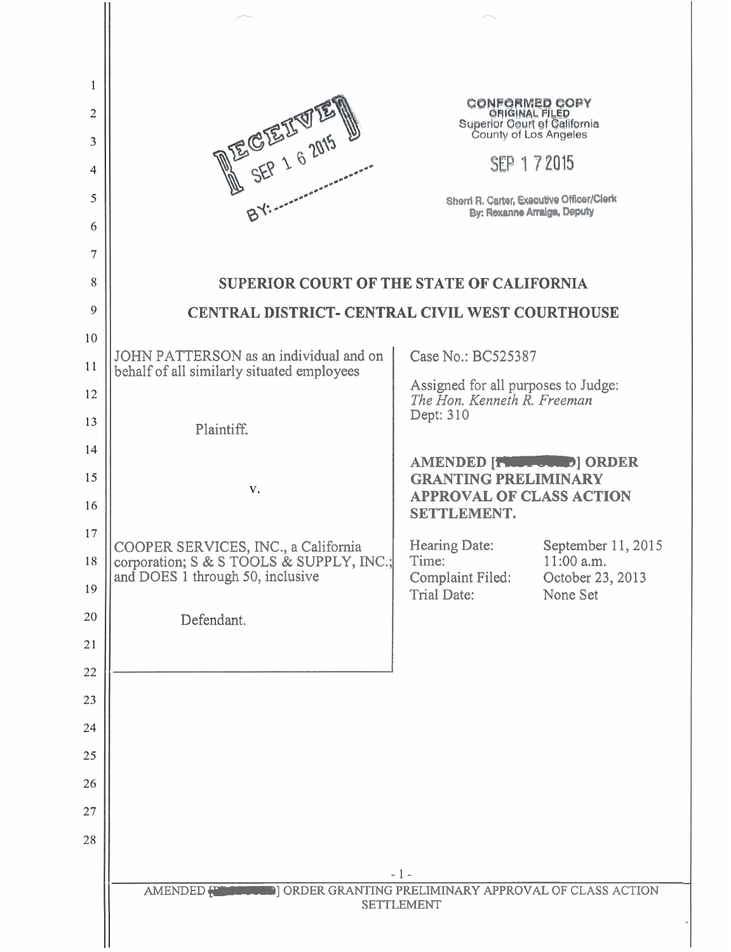| 1              |                                                                                 |                                                                          |                                  |  |
|----------------|---------------------------------------------------------------------------------|--------------------------------------------------------------------------|----------------------------------|--|
| $\overline{2}$ | DECEIVE                                                                         | <b>CONFORMED COPY</b><br>ORIGINAL FILED                                  |                                  |  |
| 3              |                                                                                 | Superior Court of California<br>County of Los Angeles                    |                                  |  |
| 4              |                                                                                 | SEP 1 7 2015                                                             |                                  |  |
| 5              |                                                                                 | Sherri R. Carter, Executive Officer/Clerk<br>By: Rexanne Arraiga, Deputy |                                  |  |
| 6              |                                                                                 |                                                                          |                                  |  |
| 7              |                                                                                 |                                                                          |                                  |  |
| 8              | <b>SUPERIOR COURT OF THE STATE OF CALIFORNIA</b>                                |                                                                          |                                  |  |
| 9              | CENTRAL DISTRICT- CENTRAL CIVIL WEST COURTHOUSE                                 |                                                                          |                                  |  |
| 10             | JOHN PATTERSON as an individual and on                                          | Case No.: BC525387                                                       |                                  |  |
| 11             | behalf of all similarly situated employees                                      | Assigned for all purposes to Judge:                                      |                                  |  |
| 12             |                                                                                 | The Hon. Kenneth R. Freeman<br>Dept: 310                                 |                                  |  |
| 13<br>14       | Plaintiff.                                                                      |                                                                          |                                  |  |
| 15             |                                                                                 | AMENDED [TWO TOWN D] ORDER<br><b>GRANTING PRELIMINARY</b>                |                                  |  |
| 16             | V.                                                                              | <b>APPROVAL OF CLASS ACTION</b>                                          |                                  |  |
| 17             |                                                                                 | SETTLEMENT.                                                              |                                  |  |
| 18             | COOPER SERVICES, INC., a California<br>corporation; S & S TOOLS & SUPPLY, INC.; | <b>Hearing Date:</b><br>Time:                                            | September 11, 2015<br>11:00 a.m. |  |
| 19             | and DOES 1 through 50, inclusive                                                | Complaint Filed:<br>Trial Date:                                          | October 23, 2013<br>None Set     |  |
| 20             | Defendant.                                                                      |                                                                          |                                  |  |
| 21             |                                                                                 |                                                                          |                                  |  |
| 22             |                                                                                 |                                                                          |                                  |  |
| 23             |                                                                                 |                                                                          |                                  |  |
| 24             |                                                                                 |                                                                          |                                  |  |
| 25             |                                                                                 |                                                                          |                                  |  |
| 26             |                                                                                 |                                                                          |                                  |  |
| 27             |                                                                                 |                                                                          |                                  |  |
| 28             |                                                                                 |                                                                          |                                  |  |
|                |                                                                                 | $-1 -$                                                                   |                                  |  |
|                | <b>SETTLEMENT</b>                                                               |                                                                          |                                  |  |
|                |                                                                                 |                                                                          |                                  |  |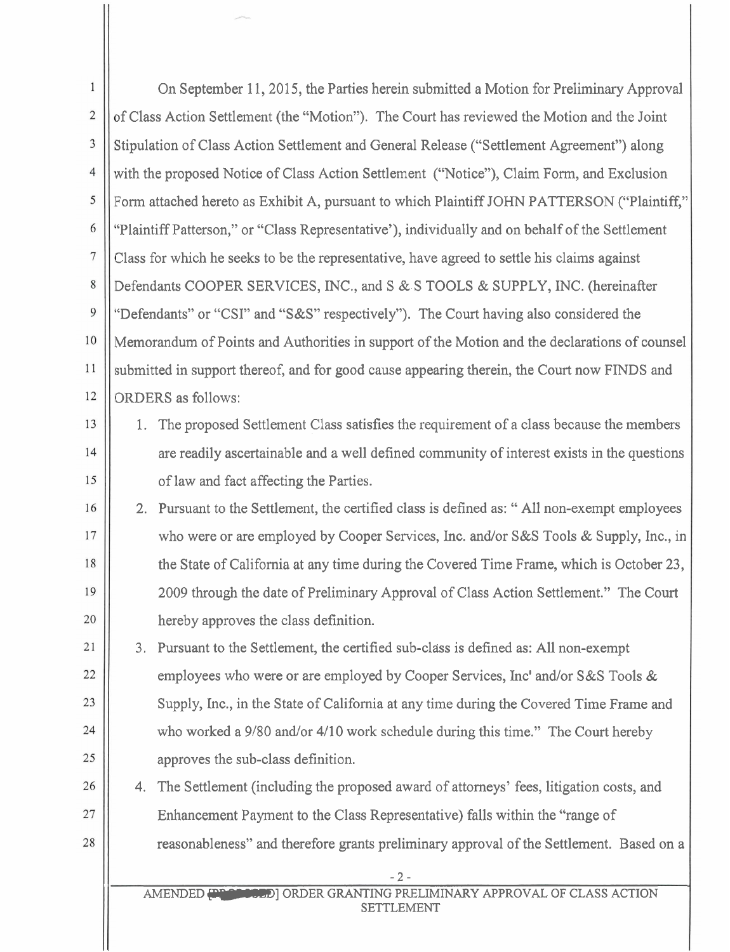| 1              | On September 11, 2015, the Parties herein submitted a Motion for Preliminary Approval           |  |  |  |
|----------------|-------------------------------------------------------------------------------------------------|--|--|--|
| $\sqrt{2}$     | of Class Action Settlement (the "Motion"). The Court has reviewed the Motion and the Joint      |  |  |  |
| 3              | Stipulation of Class Action Settlement and General Release ("Settlement Agreement") along       |  |  |  |
| $\overline{4}$ | with the proposed Notice of Class Action Settlement ("Notice"), Claim Form, and Exclusion       |  |  |  |
| 5              | Form attached hereto as Exhibit A, pursuant to which Plaintiff JOHN PATTERSON ("Plaintiff,"     |  |  |  |
| 6              | "Plaintiff Patterson," or "Class Representative'), individually and on behalf of the Settlement |  |  |  |
| 7              | Class for which he seeks to be the representative, have agreed to settle his claims against     |  |  |  |
| 8              | Defendants COOPER SERVICES, INC., and S & S TOOLS & SUPPLY, INC. (hereinafter                   |  |  |  |
| 9              | "Defendants" or "CSI" and "S&S" respectively"). The Court having also considered the            |  |  |  |
| 10             | Memorandum of Points and Authorities in support of the Motion and the declarations of counsel   |  |  |  |
| 11             | submitted in support thereof, and for good cause appearing therein, the Court now FINDS and     |  |  |  |
| 12             | <b>ORDERS</b> as follows:                                                                       |  |  |  |
| 13             | The proposed Settlement Class satisfies the requirement of a class because the members<br>1.    |  |  |  |
| 14             | are readily ascertainable and a well defined community of interest exists in the questions      |  |  |  |
| 15             | of law and fact affecting the Parties.                                                          |  |  |  |
| 16             | 2. Pursuant to the Settlement, the certified class is defined as: "All non-exempt employees     |  |  |  |
| 17             | who were or are employed by Cooper Services, Inc. and/or S&S Tools & Supply, Inc., in           |  |  |  |
| 18             | the State of California at any time during the Covered Time Frame, which is October 23,         |  |  |  |
| 19             | 2009 through the date of Preliminary Approval of Class Action Settlement." The Court            |  |  |  |
| 20             | hereby approves the class definition.                                                           |  |  |  |
| 21             | 3. Pursuant to the Settlement, the certified sub-class is defined as: All non-exempt            |  |  |  |
| 22             | employees who were or are employed by Cooper Services, Inc' and/or S&S Tools &                  |  |  |  |
| 23             | Supply, Inc., in the State of California at any time during the Covered Time Frame and          |  |  |  |
| 24             | who worked a 9/80 and/or 4/10 work schedule during this time." The Court hereby                 |  |  |  |
| 25             | approves the sub-class definition.                                                              |  |  |  |
| 26             | The Settlement (including the proposed award of attorneys' fees, litigation costs, and<br>4.    |  |  |  |
| 27             | Enhancement Payment to the Class Representative) falls within the "range of                     |  |  |  |
| 28             | reasonableness" and therefore grants preliminary approval of the Settlement. Based on a         |  |  |  |
|                | $-2-$                                                                                           |  |  |  |
|                | AMENDED PRESERVED] ORDER GRANTING PRELIMINARY APPROVAL OF CLASS ACTION<br><b>SETTLEMENT</b>     |  |  |  |

Ш

 $\parallel$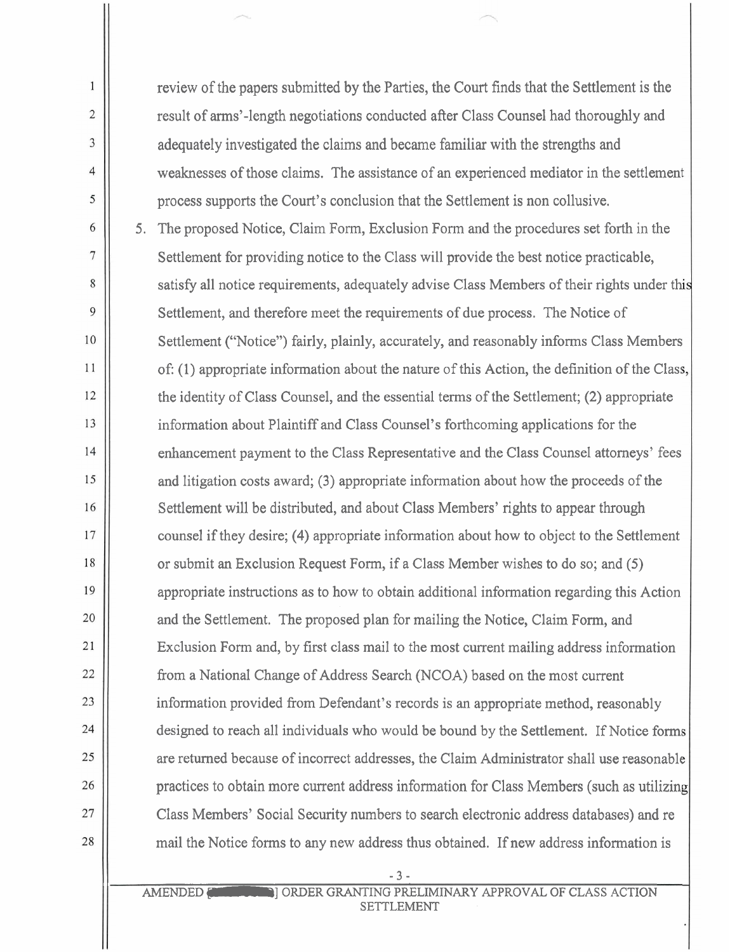review of the papers submitted by the Parties, the Court finds that the Settlement is the result of arms'-length negotiations conducted after Class Counsel had thoroughly and adequately investigated the claims and became familiar with the strengths and weaknesses of those claims. The assistance of an experienced mediator in the settlemeni process supports the Court's conclusion that the Settlement is non collusive.

 $\mathbf{1}$ 

 $\overline{2}$ 

 $\overline{\mathbf{3}}$ 

 $\overline{4}$ 

5

6

7

8

9

10

11

12

13

 $14$ 

15

16

17

18

19

20

21

22

23

24

25

26

27

28

5. The proposed Notice, Claim Form, Exclusion Form and the procedures set forth in the Settlement for providing notice to the Class will provide the best notice practicable, satisfy all notice requirements, adequately advise Class Members of their rights under this Settlement, and therefore meet the requirements of due process. The Notice of Settlement ("Notice") fairly, plainly, accurately, and reasonably informs Class Members of: (1) appropriate information about the nature of this Action, the definition of the Class, the identity of Class Counsel, and the essential terms of the Settlement; (2) appropriate information about Plaintiff and Class Counsel's forthcoming applications for the enhancement payment to the Class Representative and the Class Counsel attorneys' fees and litigation costs award; (3) appropriate information about how the proceeds of the Settlement will be distributed, and about Class Members' rights to appear through counsel if they desire; (4) appropriate information about how to object to the Settlement or submit an Exclusion Request Form, if a Class Member wishes to do so; and (5) appropriate instructions as to how to obtain additional information regarding this Action and the Settlement. The proposed plan for mailing the Notice, Claim Form, and Exclusion Form and, by first class mail to the most current mailing address information from a National Change of Address Search (NCOA) based on the most current information provided from Defendant's records is an appropriate method, reasonably designed to reach all individuals who would be bound by the Settlement. If Notice forms are returned because of incorrect addresses, the Claim Administrator shall use reasonable practices to obtain more current address information for Class Members (such as utilizing Class Members' Social Security numbers to search electronic address databases) and re mail the Notice forms to any new address thus obtained. If new address information is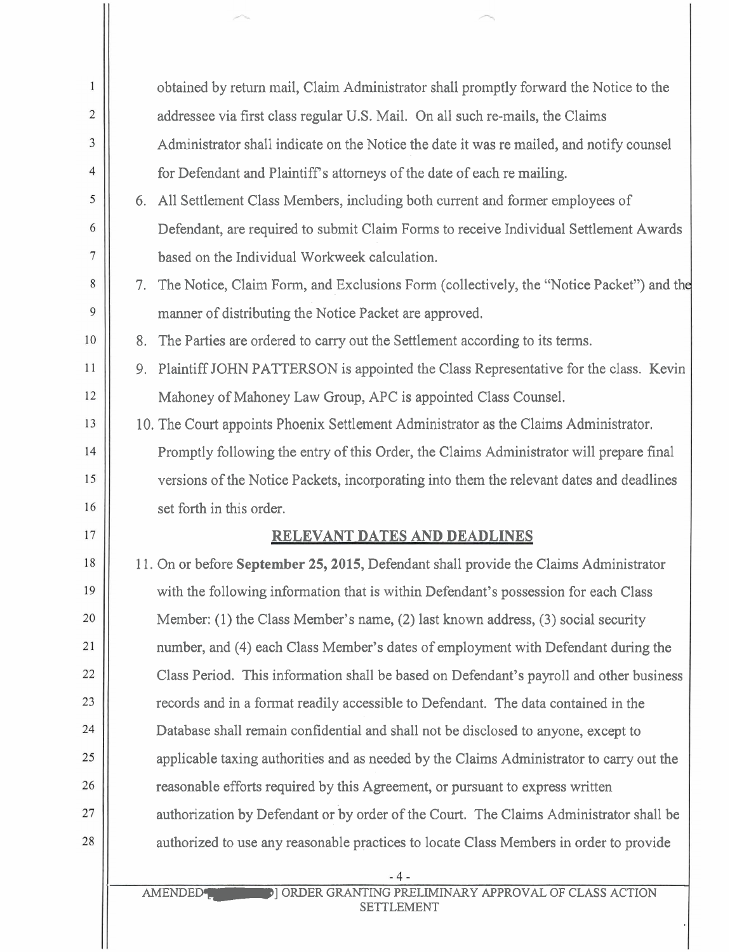| $\mathbf{1}$ |                                                                                                      |  |
|--------------|------------------------------------------------------------------------------------------------------|--|
|              | obtained by return mail, Claim Administrator shall promptly forward the Notice to the                |  |
| 2            | addressee via first class regular U.S. Mail. On all such re-mails, the Claims                        |  |
| 3            | Administrator shall indicate on the Notice the date it was remailed, and notify counsel              |  |
| 4            | for Defendant and Plaintiff's attorneys of the date of each re mailing.                              |  |
| 5            | 6. All Settlement Class Members, including both current and former employees of                      |  |
| 6            | Defendant, are required to submit Claim Forms to receive Individual Settlement Awards                |  |
| 7            | based on the Individual Workweek calculation.                                                        |  |
| 8            | 7. The Notice, Claim Form, and Exclusions Form (collectively, the "Notice Packet") and the           |  |
| 9            | manner of distributing the Notice Packet are approved.                                               |  |
| 10           | 8. The Parties are ordered to carry out the Settlement according to its terms.                       |  |
| 11           | 9. Plaintiff JOHN PATTERSON is appointed the Class Representative for the class. Kevin               |  |
| 12           | Mahoney of Mahoney Law Group, APC is appointed Class Counsel.                                        |  |
| 13           | 10. The Court appoints Phoenix Settlement Administrator as the Claims Administrator.                 |  |
| 14           | Promptly following the entry of this Order, the Claims Administrator will prepare final              |  |
| 15           | versions of the Notice Packets, incorporating into them the relevant dates and deadlines             |  |
| 16           | set forth in this order.                                                                             |  |
| 17           | RELEVANT DATES AND DEADLINES                                                                         |  |
| 18           | 11. On or before September 25, 2015, Defendant shall provide the Claims Administrator                |  |
| 19           | with the following information that is within Defendant's possession for each Class                  |  |
| 20           | Member: (1) the Class Member's name, (2) last known address, (3) social security                     |  |
| 21           | number, and (4) each Class Member's dates of employment with Defendant during the                    |  |
| 22           | Class Period. This information shall be based on Defendant's payroll and other business              |  |
| 23           | records and in a format readily accessible to Defendant. The data contained in the                   |  |
| 24           | Database shall remain confidential and shall not be disclosed to anyone, except to                   |  |
| 25           | applicable taxing authorities and as needed by the Claims Administrator to carry out the             |  |
| 26           | reasonable efforts required by this Agreement, or pursuant to express written                        |  |
| 27           | authorization by Defendant or by order of the Court. The Claims Administrator shall be               |  |
| 28           | authorized to use any reasonable practices to locate Class Members in order to provide               |  |
|              | - 4 -                                                                                                |  |
|              | <b>DI ORDER GRANTING PRELIMINARY APPROVAL OF CLASS ACTION</b><br><b>AMENDED</b><br><b>SETTLEMENT</b> |  |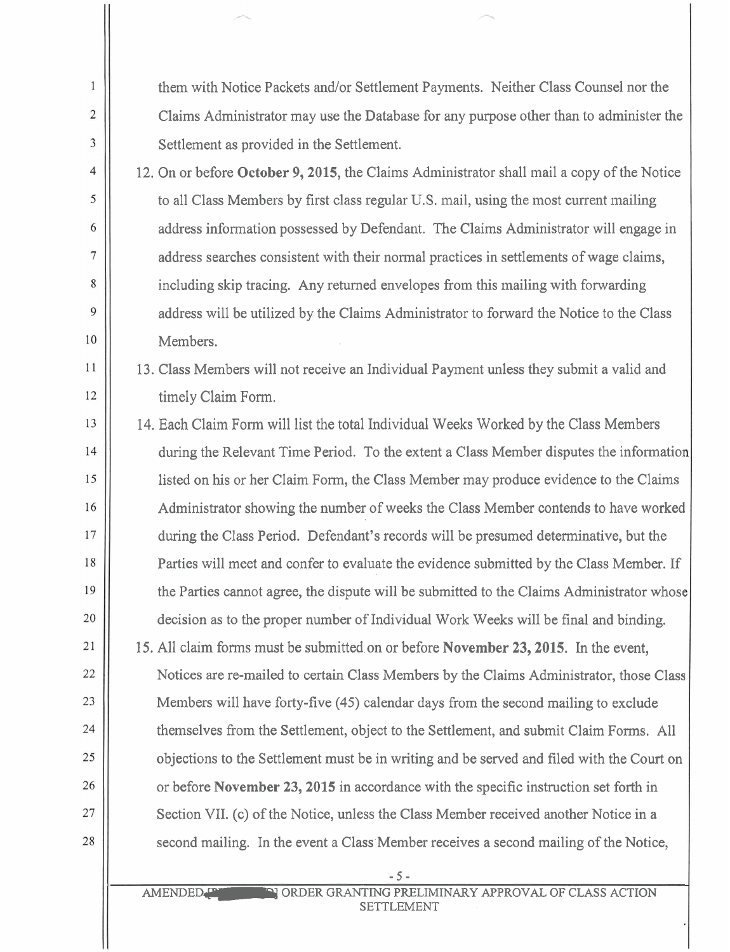| 1              | them with Notice Packets and/or Settlement Payments. Neither Class Counsel nor the         |  |
|----------------|--------------------------------------------------------------------------------------------|--|
| $\overline{2}$ | Claims Administrator may use the Database for any purpose other than to administer the     |  |
| 3              | Settlement as provided in the Settlement.                                                  |  |
| $\overline{4}$ | 12. On or before October 9, 2015, the Claims Administrator shall mail a copy of the Notice |  |
| 5              | to all Class Members by first class regular U.S. mail, using the most current mailing      |  |
| 6              | address information possessed by Defendant. The Claims Administrator will engage in        |  |
| 7              | address searches consistent with their normal practices in settlements of wage claims,     |  |
| $\,8\,$        | including skip tracing. Any returned envelopes from this mailing with forwarding           |  |
| $\overline{9}$ | address will be utilized by the Claims Administrator to forward the Notice to the Class    |  |
| 10             | Members.                                                                                   |  |
| 11             | 13. Class Members will not receive an Individual Payment unless they submit a valid and    |  |
| 12             | timely Claim Form.                                                                         |  |
| 13             | 14. Each Claim Form will list the total Individual Weeks Worked by the Class Members       |  |
| 14             | during the Relevant Time Period. To the extent a Class Member disputes the information     |  |
| 15             | listed on his or her Claim Form, the Class Member may produce evidence to the Claims       |  |
| 16             | Administrator showing the number of weeks the Class Member contends to have worked         |  |
| 17             | during the Class Period. Defendant's records will be presumed determinative, but the       |  |
| 18             | Parties will meet and confer to evaluate the evidence submitted by the Class Member. If    |  |
| 19             | the Parties cannot agree, the dispute will be submitted to the Claims Administrator whose  |  |
| 20             | decision as to the proper number of Individual Work Weeks will be final and binding.       |  |
| 21             | 15. All claim forms must be submitted on or before November 23, 2015. In the event,        |  |
| 22             | Notices are re-mailed to certain Class Members by the Claims Administrator, those Class    |  |
| 23             | Members will have forty-five (45) calendar days from the second mailing to exclude         |  |
| 24             | themselves from the Settlement, object to the Settlement, and submit Claim Forms. All      |  |
| 25             | objections to the Settlement must be in writing and be served and filed with the Court on  |  |
| 26             | or before November 23, 2015 in accordance with the specific instruction set forth in       |  |
| 27             | Section VII. (c) of the Notice, unless the Class Member received another Notice in a       |  |
| 28             | second mailing. In the event a Class Member receives a second mailing of the Notice,       |  |
|                | $-5-$                                                                                      |  |
|                | ORDER GRANTING PRELIMINARY APPROVAL OF CLASS ACTION<br><b>AMENDED</b>                      |  |

SETTLEMENT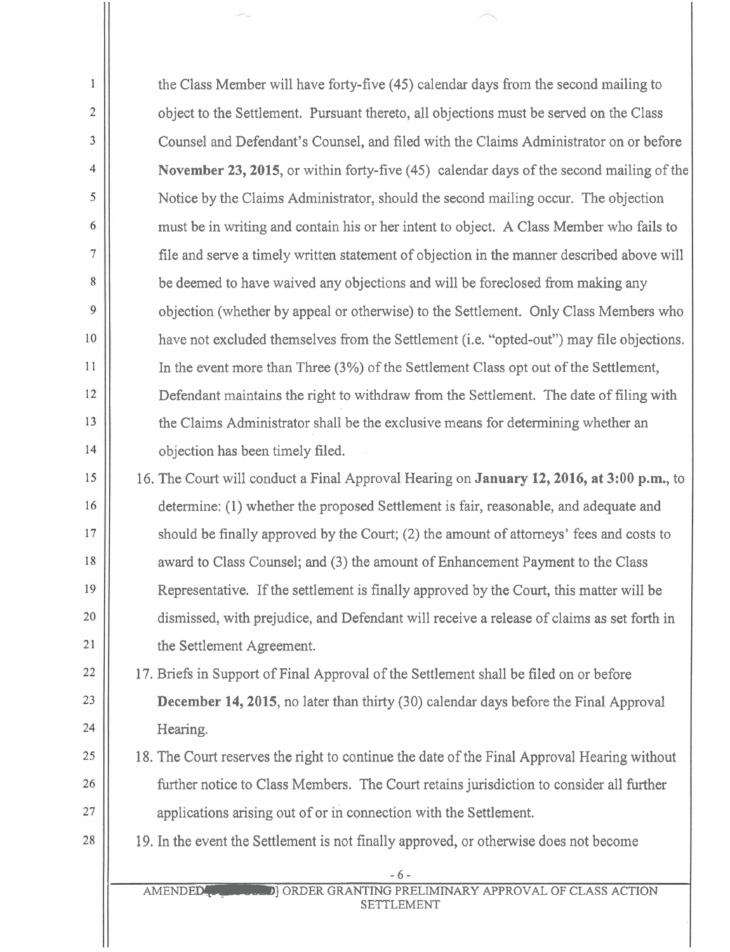the Class Member will have forty-five (45) calendar days from the second mailing to object to the Settlement. Pursuant thereto, all objections must be served on the Class Counsel and Defendant's Counsel, and filed with the Claims Administrator on or before November 23,2015, or within forty-five (45) calendar days of the second mailing of the Notice by the Claims Administrator, should the second mailing occur. The objection must be in writing and contain his or her intent to object. A Class Member who fails to file and serve a timely written statement of objection in the manner described above will be deemed to have waived any objections and will be foreclosed from making any objection (whether by appeal or otherwise) to the Settlement. Only Class Members who have not excluded themselves from the Settlement (i.e. "opted-out") may file objections. In the event more than Three (3%) of the Settlement Class opt out of the Settlement, Defendant maintains the right to withdraw from the Settlement. The date of filing with the Claims Administrator shall be the exclusive means for determining whether an objection has been timely filed.

 $\mathbf{1}$ 

 $\overline{2}$ 

3

 $\overline{4}$ 

5

6

 $\overline{7}$ 

8

 $\mathbf{Q}$ 

10

11

12

13

14

15

16

17

18

19

20

21

22

23

24

25

26

27

28

16. The Court will conduct a Final Approval Hearing on **January** 12,2016, at 3:00 p.m., to determine: (1) whether the proposed Settlement is fair, reasonable, and adequate and should be finally approved by the Court; (2) the amount of attorneys' fees and costs to award to Class Counsel; and (3) the amount of Enhancement Payment to the Class Representative. If the settlement is finally approved by the Court, this matter will be dismissed, with prejudice, and Defendant will receive a release of claims as set forth in the Settlement Agreement.

17. Briefs in Support of Final Approval of the Settlement shall be filed on or before **December 14, 2015**, no later than thirty (30) calendar days before the Final Approval Hearing.

- 18. The Court reserves the right to continue the date of the Final Approval Hearing without further notice to Class Members. The Court retains jurisdiction to consider all further applications arising out of or in connection with the Settlement.
- 19. In the event the Settlement is not finally approved, or otherwise does not become